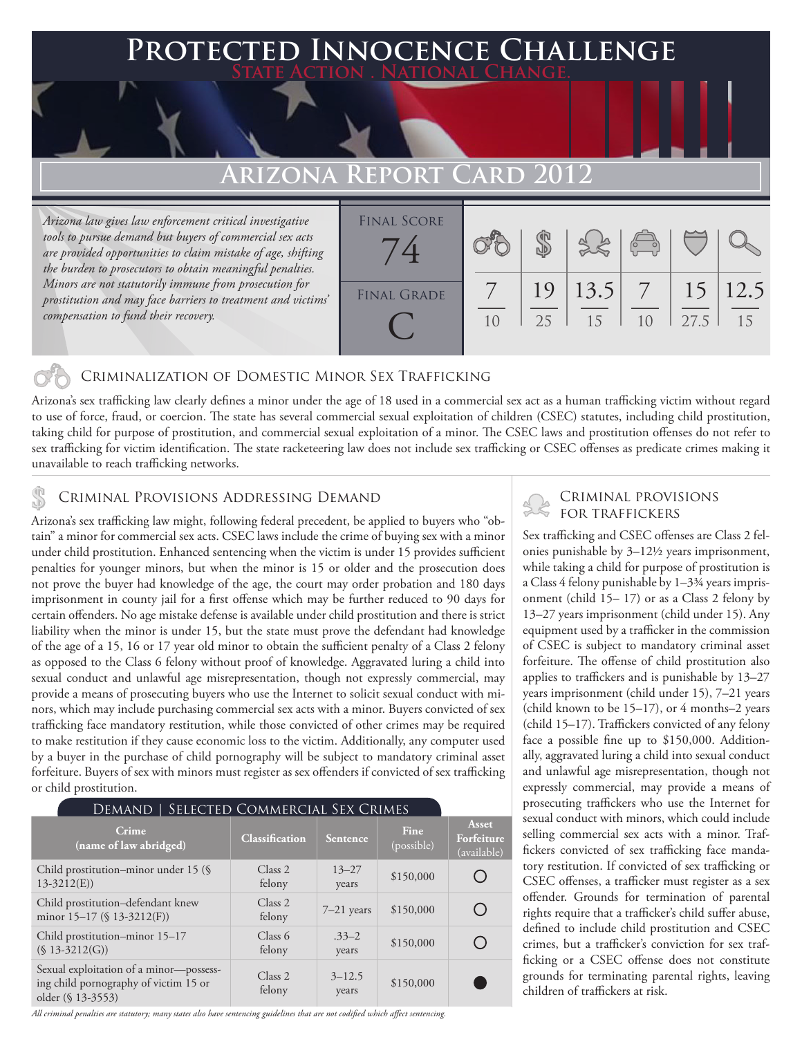### **PTED INNOCENCE CHALLENGE State Action . National Change.**

## **Arizona Report Card 2012**

*Arizona law gives law enforcement critical investigative tools to pursue demand but buyers of commercial sex acts are provided opportunities to claim mistake of age, shifting the burden to prosecutors to obtain meaningful penalties. Minors are not statutorily immune from prosecution for prostitution and may face barriers to treatment and victims' compensation to fund their recovery.*



### Criminalization of Domestic Minor Sex Trafficking

Arizona's sex trafficking law clearly defines a minor under the age of 18 used in a commercial sex act as a human trafficking victim without regard to use of force, fraud, or coercion. The state has several commercial sexual exploitation of children (CSEC) statutes, including child prostitution, taking child for purpose of prostitution, and commercial sexual exploitation of a minor. The CSEC laws and prostitution offenses do not refer to sex trafficking for victim identification. The state racketeering law does not include sex trafficking or CSEC offenses as predicate crimes making it unavailable to reach trafficking networks.

## CRIMINAL PROVISIONS ADDRESSING DEMAND

Arizona's sex trafficking law might, following federal precedent, be applied to buyers who "obtain" a minor for commercial sex acts. CSEC laws include the crime of buying sex with a minor under child prostitution. Enhanced sentencing when the victim is under 15 provides sufficient penalties for younger minors, but when the minor is 15 or older and the prosecution does not prove the buyer had knowledge of the age, the court may order probation and 180 days imprisonment in county jail for a first offense which may be further reduced to 90 days for certain offenders. No age mistake defense is available under child prostitution and there is strict liability when the minor is under 15, but the state must prove the defendant had knowledge of the age of a 15, 16 or 17 year old minor to obtain the sufficient penalty of a Class 2 felony as opposed to the Class 6 felony without proof of knowledge. Aggravated luring a child into sexual conduct and unlawful age misrepresentation, though not expressly commercial, may provide a means of prosecuting buyers who use the Internet to solicit sexual conduct with minors, which may include purchasing commercial sex acts with a minor. Buyers convicted of sex trafficking face mandatory restitution, while those convicted of other crimes may be required to make restitution if they cause economic loss to the victim. Additionally, any computer used by a buyer in the purchase of child pornography will be subject to mandatory criminal asset forfeiture. Buyers of sex with minors must register as sex offenders if convicted of sex trafficking or child prostitution.

| <b>DEMAND   SELECTED COMMERCIAL SEX CRIMES</b>                                                        |                       |                     |                    |                                    |
|-------------------------------------------------------------------------------------------------------|-----------------------|---------------------|--------------------|------------------------------------|
| Crime<br>(name of law abridged)                                                                       | <b>Classification</b> | <b>Sentence</b>     | Fine<br>(possible) | Asset<br>Forfeiture<br>(available) |
| Child prostitution–minor under 15 (§<br>$13-3212(E)$                                                  | Class 2<br>felony     | $13 - 27$<br>years  | \$150,000          |                                    |
| Child prostitution-defendant knew<br>minor $15-17$ (§ $13-3212(F)$ )                                  | Class 2<br>felony     | $7-21$ years        | \$150,000          |                                    |
| Child prostitution-minor 15-17<br>$(S 13-3212(G))$                                                    | Class 6<br>felony     | $.33 - 2$<br>years  | \$150,000          |                                    |
| Sexual exploitation of a minor-possess-<br>ing child pornography of victim 15 or<br>older (§ 13-3553) | Class 2<br>felony     | $3 - 12.5$<br>years | \$150,000          |                                    |

*All criminal penalties are statutory; many states also have sentencing guidelines that are not codified which affect sentencing.* 

# Criminal provisions

Sex trafficking and CSEC offenses are Class 2 felonies punishable by 3–12½ years imprisonment, while taking a child for purpose of prostitution is a Class 4 felony punishable by 1–3¾ years imprisonment (child 15– 17) or as a Class 2 felony by 13–27 years imprisonment (child under 15). Any equipment used by a trafficker in the commission of CSEC is subject to mandatory criminal asset forfeiture. The offense of child prostitution also applies to traffickers and is punishable by 13–27 years imprisonment (child under 15), 7–21 years (child known to be  $15-17$ ), or 4 months–2 years (child 15–17). Traffickers convicted of any felony face a possible fine up to \$150,000. Additionally, aggravated luring a child into sexual conduct and unlawful age misrepresentation, though not expressly commercial, may provide a means of prosecuting traffickers who use the Internet for sexual conduct with minors, which could include selling commercial sex acts with a minor. Traffickers convicted of sex trafficking face mandatory restitution. If convicted of sex trafficking or CSEC offenses, a trafficker must register as a sex offender. Grounds for termination of parental rights require that a trafficker's child suffer abuse, defined to include child prostitution and CSEC crimes, but a trafficker's conviction for sex trafficking or a CSEC offense does not constitute grounds for terminating parental rights, leaving children of traffickers at risk.